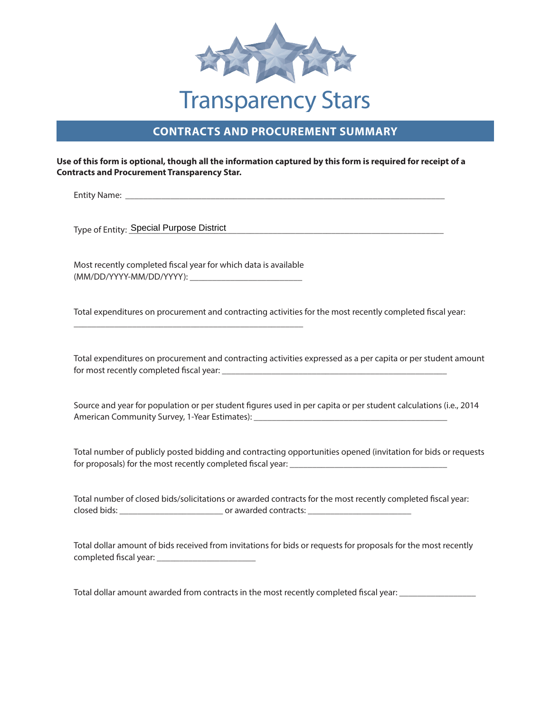

## **CONTRACTS AND PROCUREMENT SUMMARY**

## **Use of this form is optional, though all the information captured by this form is required for receipt of a Contracts and Procurement Transparency Star.**

Entity Name: \_\_\_\_\_\_\_\_\_\_\_\_\_\_\_\_\_\_\_\_\_\_\_\_\_\_\_\_\_\_\_\_\_\_\_\_\_\_\_\_\_\_\_\_\_\_\_\_\_\_\_\_\_\_\_\_\_\_\_\_\_\_\_\_\_\_\_\_\_\_\_

Type of Entity: \_\_\_\_\_\_\_\_\_\_\_\_\_\_\_\_\_\_\_\_\_\_\_\_\_\_\_\_\_\_\_\_\_\_\_\_\_\_\_\_\_\_\_\_\_\_\_\_\_\_\_\_\_\_\_\_\_\_\_\_\_\_\_\_\_\_\_\_\_\_ Special Purpose District

Most recently completed fiscal year for which data is available (MM/DD/YYYY-MM/DD/YYYY): \_\_\_\_\_\_\_\_\_\_\_\_\_\_\_\_\_\_\_\_\_\_\_\_\_

\_\_\_\_\_\_\_\_\_\_\_\_\_\_\_\_\_\_\_\_\_\_\_\_\_\_\_\_\_\_\_\_\_\_\_\_\_\_\_\_\_\_\_\_\_\_\_\_\_\_\_

Total expenditures on procurement and contracting activities for the most recently completed fiscal year:

Total expenditures on procurement and contracting activities expressed as a per capita or per student amount for most recently completed fiscal year: \_\_\_\_\_\_\_\_\_\_\_\_\_\_\_\_\_\_\_\_\_\_\_\_\_\_\_\_\_\_\_\_\_\_\_\_\_\_\_\_\_\_\_\_\_\_\_\_\_\_

Source and year for population or per student figures used in per capita or per student calculations (i.e., 2014 American Community Survey, 1-Year Estimates):

Total number of publicly posted bidding and contracting opportunities opened (invitation for bids or requests for proposals) for the most recently completed fiscal year: \_\_\_\_\_\_\_\_\_\_\_\_\_\_\_\_\_\_\_\_\_\_\_\_\_\_\_\_\_\_\_\_\_\_\_

Total number of closed bids/solicitations or awarded contracts for the most recently completed fiscal year: closed bids: \_\_\_\_\_\_\_\_\_\_\_\_\_\_\_\_\_\_\_\_\_\_\_ or awarded contracts: \_\_\_\_\_\_\_\_\_\_\_\_\_\_\_\_\_\_\_\_\_\_\_

Total dollar amount of bids received from invitations for bids or requests for proposals for the most recently completed fiscal year: \_\_\_\_\_\_\_\_\_\_\_\_\_\_\_\_\_\_\_\_\_\_

Total dollar amount awarded from contracts in the most recently completed fiscal year: \_\_\_\_\_\_\_\_\_\_\_\_\_